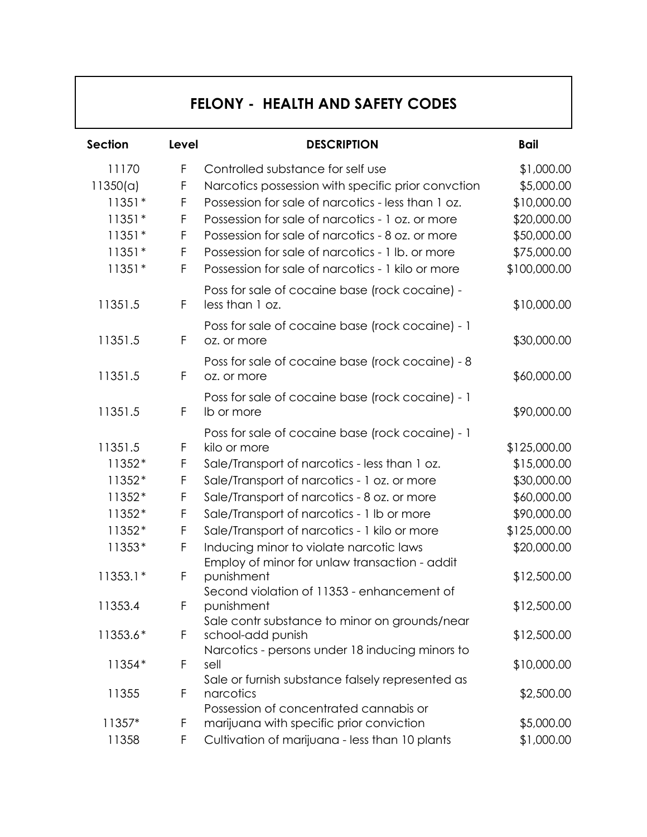## **FELONY - HEALTH AND SAFETY CODES**

| <b>Section</b> | Level | <b>DESCRIPTION</b>                                                                                        | <b>Bail</b>  |
|----------------|-------|-----------------------------------------------------------------------------------------------------------|--------------|
| 11170          | F     | Controlled substance for self use                                                                         | \$1,000.00   |
| 11350(a)       | F     | Narcotics possession with specific prior convction                                                        | \$5,000.00   |
| $11351*$       | F     | Possession for sale of narcotics - less than 1 oz.                                                        | \$10,000.00  |
| $11351*$       | F     | Possession for sale of narcotics - 1 oz. or more                                                          | \$20,000.00  |
| $11351*$       | F     | Possession for sale of narcotics - 8 oz. or more                                                          | \$50,000.00  |
| $11351*$       | F     | Possession for sale of narcotics - 1 lb. or more                                                          | \$75,000.00  |
| $11351*$       | F     | Possession for sale of narcotics - 1 kilo or more                                                         | \$100,000.00 |
| 11351.5        | F     | Poss for sale of cocaine base (rock cocaine) -<br>less than 1 oz.                                         | \$10,000.00  |
| 11351.5        | F     | Poss for sale of cocaine base (rock cocaine) - 1<br>oz. or more                                           | \$30,000.00  |
| 11351.5        | F     | Poss for sale of cocaine base (rock cocaine) - 8<br>oz. or more                                           | \$60,000.00  |
| 11351.5        | F     | Poss for sale of cocaine base (rock cocaine) - 1<br>Ib or more                                            | \$90,000.00  |
|                |       | Poss for sale of cocaine base (rock cocaine) - 1                                                          |              |
| 11351.5        | F     | kilo or more                                                                                              | \$125,000.00 |
| 11352*         | F     | Sale/Transport of narcotics - less than 1 oz.                                                             | \$15,000.00  |
| 11352*         | F     | Sale/Transport of narcotics - 1 oz. or more                                                               | \$30,000.00  |
| 11352*         | F     | Sale/Transport of narcotics - 8 oz. or more                                                               | \$60,000.00  |
| 11352*         | F     | Sale/Transport of narcotics - 1 lb or more                                                                | \$90,000.00  |
| 11352*         | F     | Sale/Transport of narcotics - 1 kilo or more                                                              | \$125,000.00 |
| 11353*         | F     | Inducing minor to violate narcotic laws                                                                   | \$20,000.00  |
| $11353.1*$     | F     | Employ of minor for unlaw transaction - addit<br>punishment<br>Second violation of 11353 - enhancement of | \$12,500.00  |
| 11353.4        | F.    | punishment                                                                                                | \$12,500.00  |
| 11353.6*       | F     | Sale contr substance to minor on grounds/near<br>school-add punish                                        | \$12,500.00  |
| 11354*         | F     | Narcotics - persons under 18 inducing minors to<br>sell                                                   | \$10,000.00  |
| 11355          | F     | Sale or furnish substance falsely represented as<br>narcotics<br>Possession of concentrated cannabis or   | \$2,500.00   |
| 11357*         | F     | marijuana with specific prior conviction                                                                  | \$5,000.00   |
| 11358          | F     | Cultivation of marijuana - less than 10 plants                                                            | \$1,000.00   |
|                |       |                                                                                                           |              |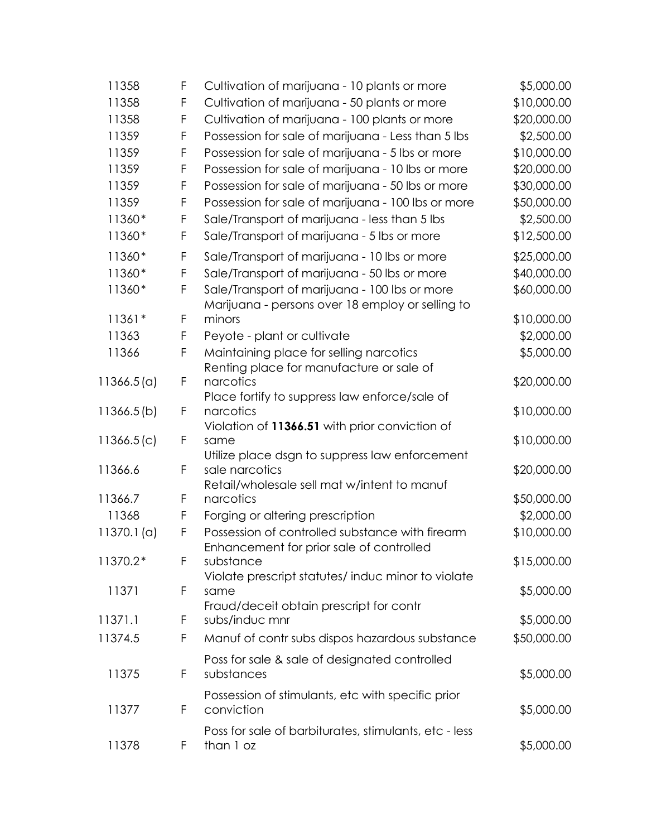| 11358      | F           | Cultivation of marijuana - 10 plants or more                                        | \$5,000.00                |
|------------|-------------|-------------------------------------------------------------------------------------|---------------------------|
| 11358      | F           | Cultivation of marijuana - 50 plants or more                                        | \$10,000.00               |
| 11358      | F           | Cultivation of marijuana - 100 plants or more                                       | \$20,000.00               |
| 11359      | F           | Possession for sale of marijuana - Less than 5 lbs                                  | \$2,500.00                |
| 11359      | F           | Possession for sale of marijuana - 5 lbs or more                                    | \$10,000.00               |
| 11359      | F           | Possession for sale of marijuana - 10 lbs or more                                   | \$20,000.00               |
| 11359      | $\mathsf F$ | Possession for sale of marijuana - 50 lbs or more                                   | \$30,000.00               |
| 11359      | $\mathsf F$ | Possession for sale of marijuana - 100 lbs or more                                  | \$50,000.00               |
| 11360*     | F           | Sale/Transport of marijuana - less than 5 lbs                                       | \$2,500.00                |
| 11360*     | F           | Sale/Transport of marijuana - 5 lbs or more                                         | \$12,500.00               |
| 11360*     | F           | Sale/Transport of marijuana - 10 lbs or more                                        | \$25,000.00               |
| 11360*     | F           | Sale/Transport of marijuana - 50 lbs or more                                        | \$40,000.00               |
| 11360*     | F           | Sale/Transport of marijuana - 100 lbs or more                                       | \$60,000.00               |
| $11361*$   | F           | Marijuana - persons over 18 employ or selling to<br>minors                          |                           |
| 11363      | F           |                                                                                     | \$10,000.00<br>\$2,000.00 |
|            | F           | Peyote - plant or cultivate                                                         |                           |
| 11366      |             | Maintaining place for selling narcotics<br>Renting place for manufacture or sale of | \$5,000.00                |
| 11366.5(a) | $\mathsf F$ | narcotics                                                                           | \$20,000.00               |
|            |             | Place fortify to suppress law enforce/sale of                                       |                           |
| 11366.5(b) | F           | narcotics                                                                           | \$10,000.00               |
|            |             | Violation of 11366.51 with prior conviction of                                      |                           |
| 11366.5(c) | F           | same                                                                                | \$10,000.00               |
| 11366.6    | F           | Utilize place dsgn to suppress law enforcement<br>sale narcotics                    | \$20,000.00               |
|            |             | Retail/wholesale sell mat w/intent to manuf                                         |                           |
| 11366.7    | F           | narcotics                                                                           | \$50,000.00               |
| 11368      | F           | Forging or altering prescription                                                    | \$2,000.00                |
| 11370.1(a) | F           | Possession of controlled substance with firearm                                     | \$10,000.00               |
|            |             | Enhancement for prior sale of controlled                                            |                           |
| 11370.2*   | F           | substance                                                                           | \$15,000.00               |
|            |             | Violate prescript statutes/induc minor to violate                                   |                           |
| 11371      | F           | same                                                                                | \$5,000.00                |
| 11371.1    | F           | Fraud/deceit obtain prescript for contr<br>subs/induc mnr                           | \$5,000.00                |
|            | F           |                                                                                     |                           |
| 11374.5    |             | Manuf of contr subs dispos hazardous substance                                      | \$50,000.00               |
| 11375      | F           | Poss for sale & sale of designated controlled<br>substances                         | \$5,000.00                |
|            |             | Possession of stimulants, etc with specific prior                                   |                           |
| 11377      | F           | conviction                                                                          | \$5,000.00                |
|            |             | Poss for sale of barbiturates, stimulants, etc - less                               |                           |
| 11378      | F           | than 1 oz                                                                           | \$5,000.00                |
|            |             |                                                                                     |                           |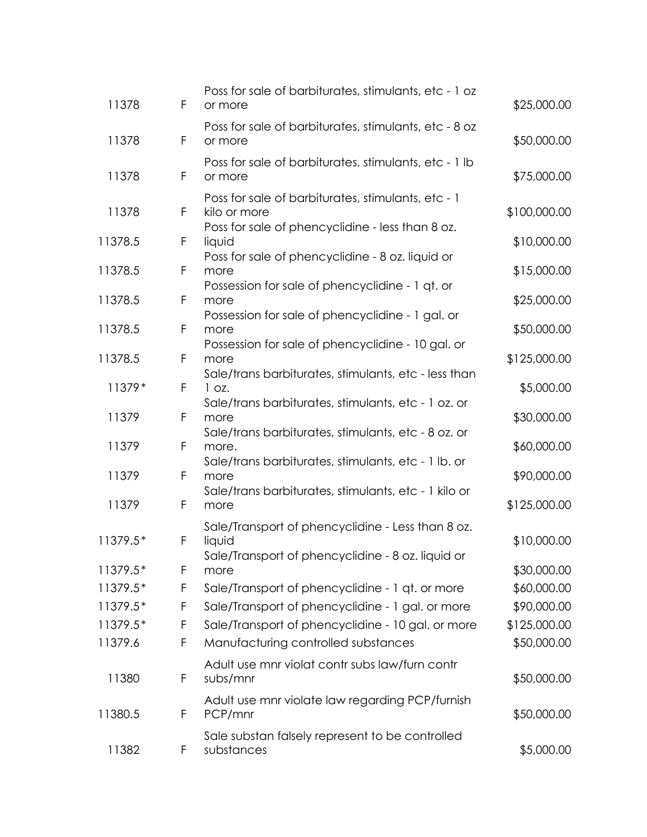| 11378    | F | Poss for sale of barbiturates, stimulants, etc - 1 oz<br>or more                                                 | \$25,000.00  |
|----------|---|------------------------------------------------------------------------------------------------------------------|--------------|
| 11378    | F | Poss for sale of barbiturates, stimulants, etc - 8 oz<br>or more                                                 | \$50,000.00  |
| 11378    | F | Poss for sale of barbiturates, stimulants, etc - 1 lb<br>or more                                                 | \$75,000.00  |
| 11378    | F | Poss for sale of barbiturates, stimulants, etc - 1<br>kilo or more                                               | \$100,000.00 |
| 11378.5  | F | Poss for sale of phencyclidine - less than 8 oz.<br>liquid                                                       | \$10,000.00  |
| 11378.5  | F | Poss for sale of phencyclidine - 8 oz. liquid or<br>more<br>Possession for sale of phencyclidine - 1 qt. or      | \$15,000.00  |
| 11378.5  | F | more                                                                                                             | \$25,000.00  |
| 11378.5  | F | Possession for sale of phencyclidine - 1 gal. or<br>more                                                         | \$50,000.00  |
| 11378.5  | F | Possession for sale of phencyclidine - 10 gal. or<br>more                                                        | \$125,000.00 |
| 11379*   | F | Sale/trans barbiturates, stimulants, etc - less than<br>1 oz.                                                    | \$5,000.00   |
| 11379    | F | Sale/trans barbiturates, stimulants, etc - 1 oz. or<br>more                                                      | \$30,000.00  |
| 11379    | F | Sale/trans barbiturates, stimulants, etc - 8 oz. or<br>more.                                                     | \$60,000.00  |
| 11379    | F | Sale/trans barbiturates, stimulants, etc - 1 lb. or<br>more                                                      | \$90,000.00  |
| 11379    | F | Sale/trans barbiturates, stimulants, etc - 1 kilo or<br>more                                                     | \$125,000.00 |
| 11379.5* | F | Sale/Transport of phencyclidine - Less than 8 oz.<br>liquid<br>Sale/Transport of phencyclidine - 8 oz. liquid or | \$10,000.00  |
| 11379.5* | F | more                                                                                                             | \$30,000.00  |
| 11379.5* | F | Sale/Transport of phencyclidine - 1 qt. or more                                                                  | \$60,000.00  |
| 11379.5* | F | Sale/Transport of phencyclidine - 1 gal. or more                                                                 | \$90,000.00  |
| 11379.5* | F | Sale/Transport of phencyclidine - 10 gal. or more                                                                | \$125,000.00 |
| 11379.6  | F | Manufacturing controlled substances                                                                              | \$50,000.00  |
| 11380    | F | Adult use mnr violat contr subs law/furn contr<br>subs/mnr                                                       | \$50,000.00  |
| 11380.5  | F | Adult use mnr violate law regarding PCP/furnish<br>PCP/mnr                                                       | \$50,000.00  |
| 11382    | F | Sale substan falsely represent to be controlled<br>substances                                                    | \$5,000.00   |